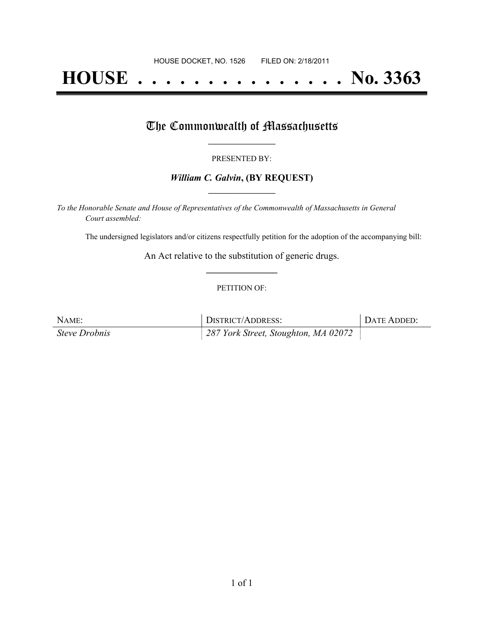# **HOUSE . . . . . . . . . . . . . . . No. 3363**

### The Commonwealth of Massachusetts

#### PRESENTED BY:

#### *William C. Galvin***, (BY REQUEST) \_\_\_\_\_\_\_\_\_\_\_\_\_\_\_\_\_**

*To the Honorable Senate and House of Representatives of the Commonwealth of Massachusetts in General Court assembled:*

The undersigned legislators and/or citizens respectfully petition for the adoption of the accompanying bill:

An Act relative to the substitution of generic drugs. **\_\_\_\_\_\_\_\_\_\_\_\_\_\_\_**

#### PETITION OF:

| NAME:                | DISTRICT/ADDRESS:                    | DATE ADDED: |
|----------------------|--------------------------------------|-------------|
| <i>Steve Drobnis</i> | 287 York Street, Stoughton, MA 02072 |             |